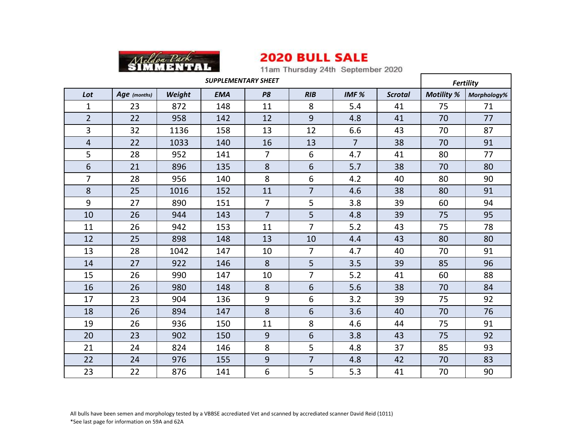

11am Thursday 24th September 2020

| <b>SUPPLEMENTARY SHEET</b> |              |        |            |                |                |                  |                | <b>Fertility</b>  |             |
|----------------------------|--------------|--------|------------|----------------|----------------|------------------|----------------|-------------------|-------------|
| Lot                        | Age (months) | Weight | <b>EMA</b> | P <sub>8</sub> | RIB            | IMF <sub>%</sub> | <b>Scrotal</b> | <b>Motility %</b> | Morphology% |
| $\mathbf{1}$               | 23           | 872    | 148        | 11             | 8              | 5.4              | 41             | 75                | 71          |
| $\overline{2}$             | 22           | 958    | 142        | 12             | 9              | 4.8              | 41             | 70                | 77          |
| 3                          | 32           | 1136   | 158        | 13             | 12             | 6.6              | 43             | 70                | 87          |
| $\overline{4}$             | 22           | 1033   | 140        | 16             | 13             | $\overline{7}$   | 38             | 70                | 91          |
| 5                          | 28           | 952    | 141        | $\overline{7}$ | 6              | 4.7              | 41             | 80                | 77          |
| $6\phantom{1}$             | 21           | 896    | 135        | 8              | 6              | 5.7              | 38             | 70                | 80          |
| $\overline{7}$             | 28           | 956    | 140        | 8              | 6              | 4.2              | 40             | 80                | 90          |
| 8                          | 25           | 1016   | 152        | 11             | $\overline{7}$ | 4.6              | 38             | 80                | 91          |
| 9                          | 27           | 890    | 151        | $\overline{7}$ | 5              | 3.8              | 39             | 60                | 94          |
| 10                         | 26           | 944    | 143        | $\overline{7}$ | 5              | 4.8              | 39             | 75                | 95          |
| 11                         | 26           | 942    | 153        | 11             | $\overline{7}$ | 5.2              | 43             | 75                | 78          |
| 12                         | 25           | 898    | 148        | 13             | 10             | 4.4              | 43             | 80                | 80          |
| 13                         | 28           | 1042   | 147        | 10             | $\overline{7}$ | 4.7              | 40             | 70                | 91          |
| 14                         | 27           | 922    | 146        | 8              | 5              | 3.5              | 39             | 85                | 96          |
| 15                         | 26           | 990    | 147        | 10             | 7              | 5.2              | 41             | 60                | 88          |
| 16                         | 26           | 980    | 148        | 8              | 6              | 5.6              | 38             | 70                | 84          |
| 17                         | 23           | 904    | 136        | 9              | 6              | 3.2              | 39             | 75                | 92          |
| 18                         | 26           | 894    | 147        | 8              | 6              | 3.6              | 40             | 70                | 76          |
| 19                         | 26           | 936    | 150        | 11             | 8              | 4.6              | 44             | 75                | 91          |
| 20                         | 23           | 902    | 150        | 9              | 6              | 3.8              | 43             | 75                | 92          |
| 21                         | 24           | 824    | 146        | 8              | 5              | 4.8              | 37             | 85                | 93          |
| 22                         | 24           | 976    | 155        | $9\,$          | $\overline{7}$ | 4.8              | 42             | 70                | 83          |
| 23                         | 22           | 876    | 141        | 6              | 5              | 5.3              | 41             | 70                | 90          |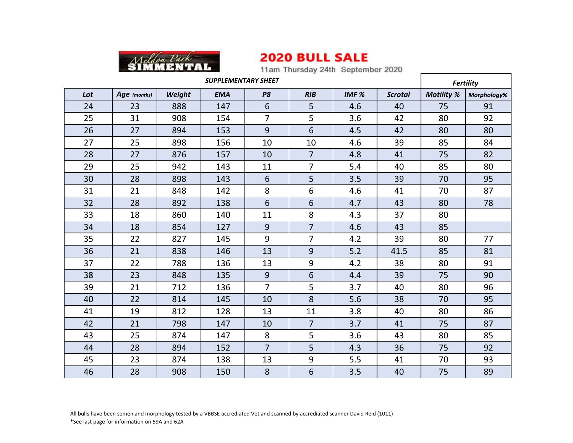

11am Thursday 24th September 2020

| <b>SUPPLEMENTARY SHEET</b> |              |        |            |                |                |                  |                | <b>Fertility</b>  |             |
|----------------------------|--------------|--------|------------|----------------|----------------|------------------|----------------|-------------------|-------------|
| Lot                        | Age (months) | Weight | <b>EMA</b> | P <sub>8</sub> | RIB            | IMF <sub>%</sub> | <b>Scrotal</b> | <b>Motility %</b> | Morphology% |
| 24                         | 23           | 888    | 147        | 6              | 5              | 4.6              | 40             | 75                | 91          |
| 25                         | 31           | 908    | 154        | $\overline{7}$ | 5              | 3.6              | 42             | 80                | 92          |
| 26                         | 27           | 894    | 153        | 9              | 6              | 4.5              | 42             | 80                | 80          |
| 27                         | 25           | 898    | 156        | 10             | 10             | 4.6              | 39             | 85                | 84          |
| 28                         | 27           | 876    | 157        | 10             | $\overline{7}$ | 4.8              | 41             | 75                | 82          |
| 29                         | 25           | 942    | 143        | 11             | $\overline{7}$ | 5.4              | 40             | 85                | 80          |
| 30                         | 28           | 898    | 143        | $6\phantom{1}$ | 5              | 3.5              | 39             | 70                | 95          |
| 31                         | 21           | 848    | 142        | 8              | 6              | 4.6              | 41             | 70                | 87          |
| 32                         | 28           | 892    | 138        | 6              | 6              | 4.7              | 43             | 80                | 78          |
| 33                         | 18           | 860    | 140        | 11             | 8              | 4.3              | 37             | 80                |             |
| 34                         | 18           | 854    | 127        | 9              | $\overline{7}$ | 4.6              | 43             | 85                |             |
| 35                         | 22           | 827    | 145        | 9              | $\overline{7}$ | 4.2              | 39             | 80                | 77          |
| 36                         | 21           | 838    | 146        | 13             | 9              | 5.2              | 41.5           | 85                | 81          |
| 37                         | 22           | 788    | 136        | 13             | 9              | 4.2              | 38             | 80                | 91          |
| 38                         | 23           | 848    | 135        | 9              | 6              | 4.4              | 39             | 75                | 90          |
| 39                         | 21           | 712    | 136        | $\overline{7}$ | 5              | 3.7              | 40             | 80                | 96          |
| 40                         | 22           | 814    | 145        | 10             | 8              | 5.6              | 38             | 70                | 95          |
| 41                         | 19           | 812    | 128        | 13             | 11             | 3.8              | 40             | 80                | 86          |
| 42                         | 21           | 798    | 147        | 10             | $\overline{7}$ | 3.7              | 41             | 75                | 87          |
| 43                         | 25           | 874    | 147        | 8              | 5              | 3.6              | 43             | 80                | 85          |
| 44                         | 28           | 894    | 152        | $\overline{7}$ | 5              | 4.3              | 36             | 75                | 92          |
| 45                         | 23           | 874    | 138        | 13             | 9              | 5.5              | 41             | 70                | 93          |
| 46                         | 28           | 908    | 150        | 8              | 6              | 3.5              | 40             | 75                | 89          |

 All bulls have been semen and morphology tested by a VBBSE accrediated Vet and scanned by accrediated scanner David Reid (1011) \*See last page for information on 59A and 62A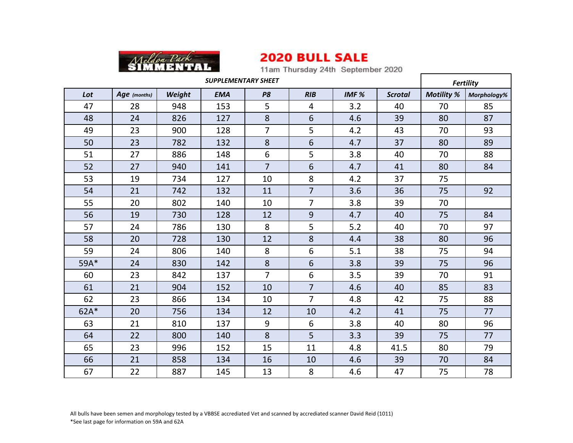

11am Thursday 24th September 2020

| <b>SUPPLEMENTARY SHEET</b> |              |        |            |                |                          |                  |                | <b>Fertility</b>  |             |
|----------------------------|--------------|--------|------------|----------------|--------------------------|------------------|----------------|-------------------|-------------|
| Lot                        | Age (months) | Weight | <b>EMA</b> | P <sub>8</sub> | RIB                      | IMF <sub>%</sub> | <b>Scrotal</b> | <b>Motility %</b> | Morphology% |
| 47                         | 28           | 948    | 153        | 5              | $\overline{\mathcal{A}}$ | 3.2              | 40             | 70                | 85          |
| 48                         | 24           | 826    | 127        | 8              | 6                        | 4.6              | 39             | 80                | 87          |
| 49                         | 23           | 900    | 128        | $\overline{7}$ | 5                        | 4.2              | 43             | 70                | 93          |
| 50                         | 23           | 782    | 132        | 8              | 6                        | 4.7              | 37             | 80                | 89          |
| 51                         | 27           | 886    | 148        | 6              | 5                        | 3.8              | 40             | 70                | 88          |
| 52                         | 27           | 940    | 141        | $\overline{7}$ | 6                        | 4.7              | 41             | 80                | 84          |
| 53                         | 19           | 734    | 127        | 10             | 8                        | 4.2              | 37             | 75                |             |
| 54                         | 21           | 742    | 132        | 11             | $\overline{7}$           | 3.6              | 36             | 75                | 92          |
| 55                         | 20           | 802    | 140        | 10             | $\overline{7}$           | 3.8              | 39             | 70                |             |
| 56                         | 19           | 730    | 128        | 12             | 9                        | 4.7              | 40             | 75                | 84          |
| 57                         | 24           | 786    | 130        | 8              | 5                        | 5.2              | 40             | 70                | 97          |
| 58                         | 20           | 728    | 130        | 12             | 8                        | 4.4              | 38             | 80                | 96          |
| 59                         | 24           | 806    | 140        | 8              | 6                        | 5.1              | 38             | 75                | 94          |
| 59A*                       | 24           | 830    | 142        | 8              | 6                        | 3.8              | 39             | 75                | 96          |
| 60                         | 23           | 842    | 137        | $\overline{7}$ | 6                        | 3.5              | 39             | 70                | 91          |
| 61                         | 21           | 904    | 152        | 10             | $\overline{7}$           | 4.6              | 40             | 85                | 83          |
| 62                         | 23           | 866    | 134        | 10             | $\overline{7}$           | 4.8              | 42             | 75                | 88          |
| $62A*$                     | 20           | 756    | 134        | 12             | 10                       | 4.2              | 41             | 75                | 77          |
| 63                         | 21           | 810    | 137        | 9              | 6                        | 3.8              | 40             | 80                | 96          |
| 64                         | 22           | 800    | 140        | 8              | 5                        | 3.3              | 39             | 75                | 77          |
| 65                         | 23           | 996    | 152        | 15             | 11                       | 4.8              | 41.5           | 80                | 79          |
| 66                         | 21           | 858    | 134        | 16             | 10                       | 4.6              | 39             | 70                | 84          |
| 67                         | 22           | 887    | 145        | 13             | 8                        | 4.6              | 47             | 75                | 78          |

 All bulls have been semen and morphology tested by a VBBSE accrediated Vet and scanned by accrediated scanner David Reid (1011) \*See last page for information on 59A and 62A